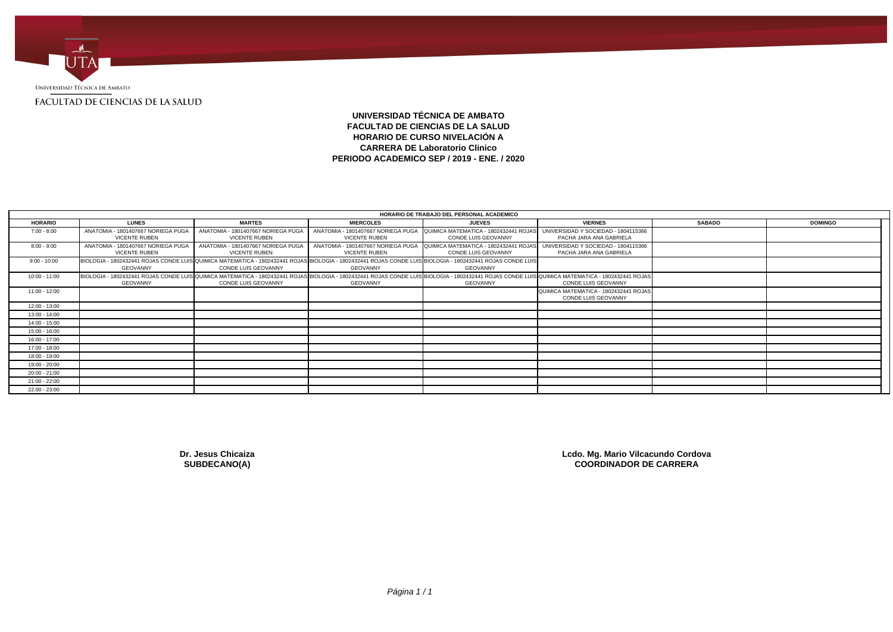

# **UNIVERSIDAD TÉCNICA DE AMBATO FACULTAD DE CIENCIAS DE LA SALUD HORARIO DE CURSO NIVELACIÓN A CARRERA DE Laboratorio Clinico PERIODO ACADEMICO SEP / 2019 - ENE. / 2020**

|                 |                                                                                                                                                                                                              |                                                            |                      | HORARIO DE TRABAJO DEL PERSONAL ACADEMICO                                                       |                                                                |               |                |
|-----------------|--------------------------------------------------------------------------------------------------------------------------------------------------------------------------------------------------------------|------------------------------------------------------------|----------------------|-------------------------------------------------------------------------------------------------|----------------------------------------------------------------|---------------|----------------|
| <b>HORARIO</b>  | <b>LUNES</b>                                                                                                                                                                                                 | <b>MARTES</b>                                              | <b>MIERCOLES</b>     | <b>JUEVES</b>                                                                                   | <b>VIERNES</b>                                                 | <b>SABADO</b> | <b>DOMINGO</b> |
| $7:00 - 8:00$   | ANATOMIA - 1801407667 NORIEGA PUGA<br><b>VICENTE RUBEN</b>                                                                                                                                                   | ANATOMIA - 1801407667 NORIEGA PUGA<br><b>VICENTE RUBEN</b> | VICENTE RUBEN        | ANATOMIA - 1801407667 NORIEGA PUGA QUIMICA MATEMATICA - 1802432441 ROJAS<br>CONDE LUIS GEOVANNY | UNIVERSIDAD Y SOCIEDAD - 1804115366<br>PACHA JARA ANA GABRIELA |               |                |
| $8:00 - 9:00$   | ANATOMIA - 1801407667 NORIEGA PUGA<br><b>VICENTE RUBEN</b>                                                                                                                                                   | ANATOMIA - 1801407667 NORIEGA PUGA<br><b>VICENTE RUBEN</b> | <b>VICENTE RUBEN</b> | ANATOMIA - 1801407667 NORIEGA PUGA QUIMICA MATEMATICA - 1802432441 ROJAS<br>CONDE LUIS GEOVANNY | UNIVERSIDAD Y SOCIEDAD - 1804115366<br>PACHA JARA ANA GABRIELA |               |                |
| $9:00 - 10:00$  | BIOLOGIA - 1802432441 ROJAS CONDE LUIS QUIMICA MATEMATICA - 1802432441 ROJAS BIOLOGIA - 1802432441 ROJAS CONDE LUIS BIOLOGIA - 1802432441 ROJAS CONDE LUIS<br><b>GEOVANNY</b>                                | CONDE LUIS GEOVANNY                                        | GEOVANNY             | GEOVANNY                                                                                        |                                                                |               |                |
| $10:00 - 11:00$ | BIOLOGIA - 1802432441 ROJAS CONDE LUIS QUIMICA MATEMATICA - 1802432441 ROJAS BIOLOGIA - 1802432441 ROJAS CONDE LUIS BIOLOGIA - 1802432441 ROJAS CONDE LUIS QUIMICA MATEMATICA - 1802432441 ROJAS<br>GEOVANNY | <b>CONDE LUIS GEOVANNY</b>                                 | GEOVANNY             | <b>GEOVANNY</b>                                                                                 | <b>CONDE LUIS GEOVANNY</b>                                     |               |                |
| $11:00 - 12:00$ |                                                                                                                                                                                                              |                                                            |                      |                                                                                                 | QUIMICA MATEMATICA - 1802432441 ROJAS<br>CONDE LUIS GEOVANNY   |               |                |
| 12:00 - 13:00   |                                                                                                                                                                                                              |                                                            |                      |                                                                                                 |                                                                |               |                |
| 13:00 - 14:00   |                                                                                                                                                                                                              |                                                            |                      |                                                                                                 |                                                                |               |                |
| 14:00 - 15:00   |                                                                                                                                                                                                              |                                                            |                      |                                                                                                 |                                                                |               |                |
| 15:00 - 16:00   |                                                                                                                                                                                                              |                                                            |                      |                                                                                                 |                                                                |               |                |
| 16:00 - 17:00   |                                                                                                                                                                                                              |                                                            |                      |                                                                                                 |                                                                |               |                |
| 17:00 - 18:00   |                                                                                                                                                                                                              |                                                            |                      |                                                                                                 |                                                                |               |                |
| 18:00 - 19:00   |                                                                                                                                                                                                              |                                                            |                      |                                                                                                 |                                                                |               |                |
| 19:00 - 20:00   |                                                                                                                                                                                                              |                                                            |                      |                                                                                                 |                                                                |               |                |
| 20:00 - 21:00   |                                                                                                                                                                                                              |                                                            |                      |                                                                                                 |                                                                |               |                |
| 21:00 - 22:00   |                                                                                                                                                                                                              |                                                            |                      |                                                                                                 |                                                                |               |                |
| 22:00 - 23:00   |                                                                                                                                                                                                              |                                                            |                      |                                                                                                 |                                                                |               |                |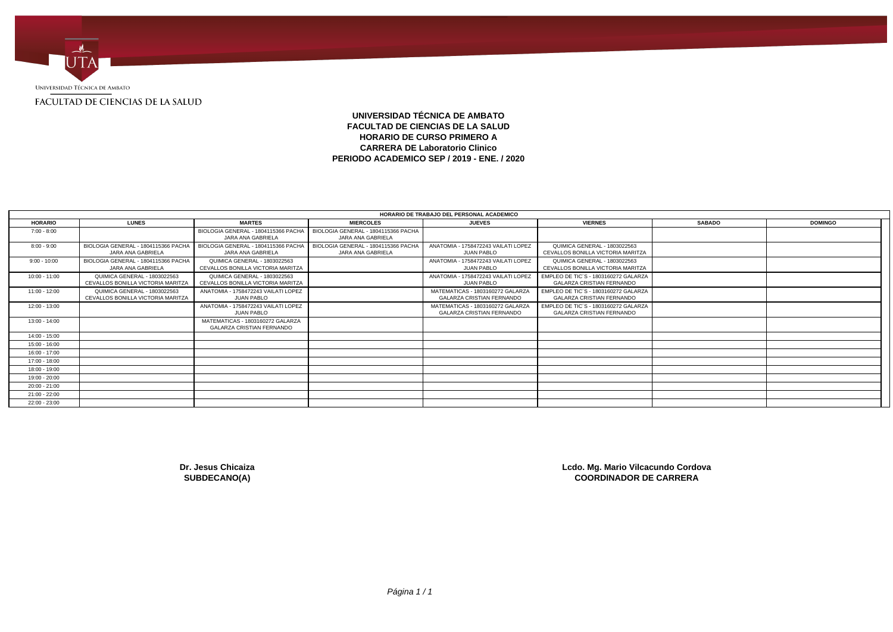

# **UNIVERSIDAD TÉCNICA DE AMBATO FACULTAD DE CIENCIAS DE LA SALUD HORARIO DE CURSO PRIMERO A CARRERA DE Laboratorio Clinico PERIODO ACADEMICO SEP / 2019 - ENE. / 2020**

|                 |                                                                   |                                                                      |                                                          | HORARIO DE TRABAJO DEL PERSONAL ACADEMICO                            |                                                                          |               |                |
|-----------------|-------------------------------------------------------------------|----------------------------------------------------------------------|----------------------------------------------------------|----------------------------------------------------------------------|--------------------------------------------------------------------------|---------------|----------------|
| <b>HORARIO</b>  | <b>LUNES</b>                                                      | <b>MARTES</b>                                                        | <b>MIERCOLES</b>                                         | <b>JUEVES</b>                                                        | <b>VIERNES</b>                                                           | <b>SABADO</b> | <b>DOMINGO</b> |
| $7:00 - 8:00$   |                                                                   | BIOLOGIA GENERAL - 1804115366 PACHA<br>JARA ANA GABRIELA             | BIOLOGIA GENERAL - 1804115366 PACHA<br>JARA ANA GABRIELA |                                                                      |                                                                          |               |                |
| $8:00 - 9:00$   | BIOLOGIA GENERAL - 1804115366 PACHA<br>JARA ANA GABRIELA          | BIOLOGIA GENERAL - 1804115366 PACHA<br>JARA ANA GABRIELA             | BIOLOGIA GENERAL - 1804115366 PACHA<br>JARA ANA GABRIELA | ANATOMIA - 1758472243 VAILATI LOPEZ<br><b>JUAN PABLO</b>             | QUIMICA GENERAL - 1803022563<br>CEVALLOS BONILLA VICTORIA MARITZA        |               |                |
| $9:00 - 10:00$  | BIOLOGIA GENERAL - 1804115366 PACHA<br>JARA ANA GABRIELA          | QUIMICA GENERAL - 1803022563<br>CEVALLOS BONILLA VICTORIA MARITZA    |                                                          | ANATOMIA - 1758472243 VAILATI LOPEZ<br><b>JUAN PABLO</b>             | QUIMICA GENERAL - 1803022563<br>CEVALLOS BONILLA VICTORIA MARITZA        |               |                |
| 10:00 - 11:00   | QUIMICA GENERAL - 1803022563<br>CEVALLOS BONILLA VICTORIA MARITZA | QUIMICA GENERAL - 1803022563<br>CEVALLOS BONILLA VICTORIA MARITZA    |                                                          | ANATOMIA - 1758472243 VAILATI LOPEZ<br><b>JUAN PABLO</b>             | EMPLEO DE TIC'S - 1803160272 GALARZA<br><b>GALARZA CRISTIAN FERNANDO</b> |               |                |
| $11:00 - 12:00$ | QUIMICA GENERAL - 1803022563<br>CEVALLOS BONILLA VICTORIA MARITZA | ANATOMIA - 1758472243 VAILATI LOPEZ<br><b>JUAN PABLO</b>             |                                                          | MATEMATICAS - 1803160272 GALARZA<br><b>GALARZA CRISTIAN FERNANDO</b> | EMPLEO DE TIC'S - 1803160272 GALARZA<br><b>GALARZA CRISTIAN FERNANDO</b> |               |                |
| 12:00 - 13:00   |                                                                   | ANATOMIA - 1758472243 VAILATI LOPEZ<br><b>JUAN PABLO</b>             |                                                          | MATEMATICAS - 1803160272 GALARZA<br><b>GALARZA CRISTIAN FERNANDO</b> | EMPLEO DE TIC'S - 1803160272 GALARZA<br><b>GALARZA CRISTIAN FERNANDO</b> |               |                |
| 13:00 - 14:00   |                                                                   | MATEMATICAS - 1803160272 GALARZA<br><b>GALARZA CRISTIAN FERNANDO</b> |                                                          |                                                                      |                                                                          |               |                |
| $14:00 - 15:00$ |                                                                   |                                                                      |                                                          |                                                                      |                                                                          |               |                |
| 15:00 - 16:00   |                                                                   |                                                                      |                                                          |                                                                      |                                                                          |               |                |
| $16:00 - 17:00$ |                                                                   |                                                                      |                                                          |                                                                      |                                                                          |               |                |
| 17:00 - 18:00   |                                                                   |                                                                      |                                                          |                                                                      |                                                                          |               |                |
| 18:00 - 19:00   |                                                                   |                                                                      |                                                          |                                                                      |                                                                          |               |                |
| 19:00 - 20:00   |                                                                   |                                                                      |                                                          |                                                                      |                                                                          |               |                |
| $20:00 - 21:00$ |                                                                   |                                                                      |                                                          |                                                                      |                                                                          |               |                |
| 21:00 - 22:00   |                                                                   |                                                                      |                                                          |                                                                      |                                                                          |               |                |
| 22:00 - 23:00   |                                                                   |                                                                      |                                                          |                                                                      |                                                                          |               |                |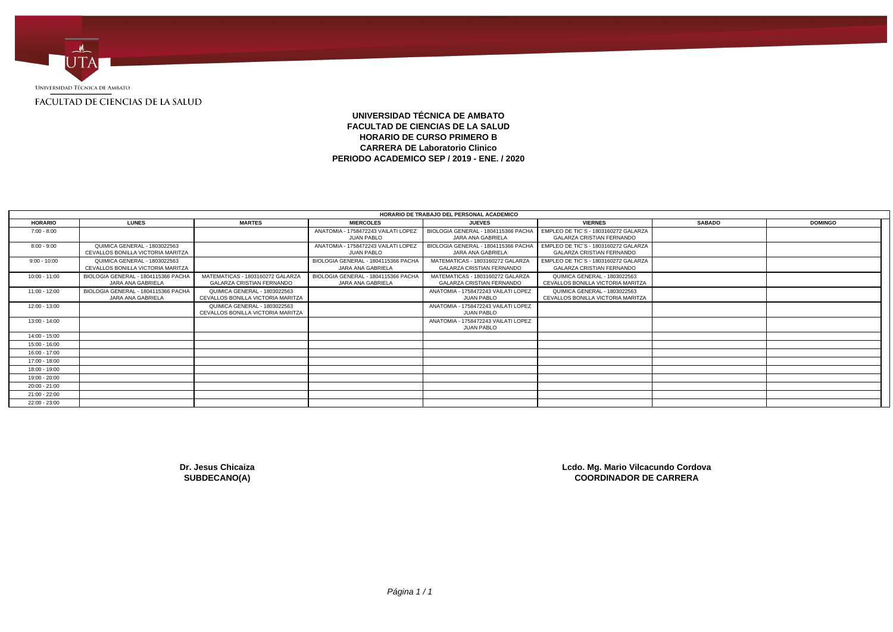

# **UNIVERSIDAD TÉCNICA DE AMBATO FACULTAD DE CIENCIAS DE LA SALUD HORARIO DE CURSO PRIMERO B CARRERA DE Laboratorio Clinico PERIODO ACADEMICO SEP / 2019 - ENE. / 2020**

|                 |                                                                   |                                                                      |                                                          | HORARIO DE TRABAJO DEL PERSONAL ACADEMICO                            |                                                                          |               |                |
|-----------------|-------------------------------------------------------------------|----------------------------------------------------------------------|----------------------------------------------------------|----------------------------------------------------------------------|--------------------------------------------------------------------------|---------------|----------------|
| <b>HORARIO</b>  | <b>LUNES</b>                                                      | <b>MARTES</b>                                                        | <b>MIERCOLES</b>                                         | <b>JUEVES</b>                                                        | <b>VIERNES</b>                                                           | <b>SABADO</b> | <b>DOMINGO</b> |
| $7:00 - 8:00$   |                                                                   |                                                                      | ANATOMIA - 1758472243 VAILATI LOPEZ<br><b>JUAN PABLO</b> | BIOLOGIA GENERAL - 1804115366 PACHA<br>JARA ANA GABRIELA             | EMPLEO DE TIC'S - 1803160272 GALARZA<br><b>GALARZA CRISTIAN FERNANDO</b> |               |                |
| $8:00 - 9:00$   | QUIMICA GENERAL - 1803022563<br>CEVALLOS BONILLA VICTORIA MARITZA |                                                                      | ANATOMIA - 1758472243 VAILATI LOPEZ<br><b>JUAN PABLO</b> | BIOLOGIA GENERAL - 1804115366 PACHA<br>JARA ANA GABRIELA             | EMPLEO DE TIC'S - 1803160272 GALARZA<br>GALARZA CRISTIAN FERNANDO        |               |                |
| $9:00 - 10:00$  | QUIMICA GENERAL - 1803022563<br>CEVALLOS BONILLA VICTORIA MARITZA |                                                                      | BIOLOGIA GENERAL - 1804115366 PACHA<br>JARA ANA GABRIELA | MATEMATICAS - 1803160272 GALARZA<br><b>GALARZA CRISTIAN FERNANDO</b> | EMPLEO DE TIC'S - 1803160272 GALARZA<br><b>GALARZA CRISTIAN FERNANDO</b> |               |                |
| $10:00 - 11:00$ | BIOLOGIA GENERAL - 1804115366 PACHA<br>JARA ANA GABRIELA          | MATEMATICAS - 1803160272 GALARZA<br><b>GALARZA CRISTIAN FERNANDO</b> | BIOLOGIA GENERAL - 1804115366 PACHA<br>JARA ANA GABRIELA | MATEMATICAS - 1803160272 GALARZA<br><b>GALARZA CRISTIAN FERNANDO</b> | QUIMICA GENERAL - 1803022563<br>CEVALLOS BONILLA VICTORIA MARITZA        |               |                |
| $11:00 - 12:00$ | BIOLOGIA GENERAL - 1804115366 PACHA<br>JARA ANA GABRIELA          | QUIMICA GENERAL - 1803022563<br>CEVALLOS BONILLA VICTORIA MARITZA    |                                                          | ANATOMIA - 1758472243 VAILATI LOPEZ<br><b>JUAN PABLO</b>             | QUIMICA GENERAL - 1803022563<br>CEVALLOS BONILLA VICTORIA MARITZA        |               |                |
| $12:00 - 13:00$ |                                                                   | QUIMICA GENERAL - 1803022563<br>CEVALLOS BONILLA VICTORIA MARITZA    |                                                          | ANATOMIA - 1758472243 VAILATI LOPEZ<br><b>JUAN PABLO</b>             |                                                                          |               |                |
| 13:00 - 14:00   |                                                                   |                                                                      |                                                          | ANATOMIA - 1758472243 VAILATI LOPEZ<br><b>JUAN PABLO</b>             |                                                                          |               |                |
| $14:00 - 15:00$ |                                                                   |                                                                      |                                                          |                                                                      |                                                                          |               |                |
| 15:00 - 16:00   |                                                                   |                                                                      |                                                          |                                                                      |                                                                          |               |                |
| $16:00 - 17:00$ |                                                                   |                                                                      |                                                          |                                                                      |                                                                          |               |                |
| $17:00 - 18:00$ |                                                                   |                                                                      |                                                          |                                                                      |                                                                          |               |                |
| 18:00 - 19:00   |                                                                   |                                                                      |                                                          |                                                                      |                                                                          |               |                |
| 19:00 - 20:00   |                                                                   |                                                                      |                                                          |                                                                      |                                                                          |               |                |
| $20:00 - 21:00$ |                                                                   |                                                                      |                                                          |                                                                      |                                                                          |               |                |
| $21:00 - 22:00$ |                                                                   |                                                                      |                                                          |                                                                      |                                                                          |               |                |
| 22:00 - 23:00   |                                                                   |                                                                      |                                                          |                                                                      |                                                                          |               |                |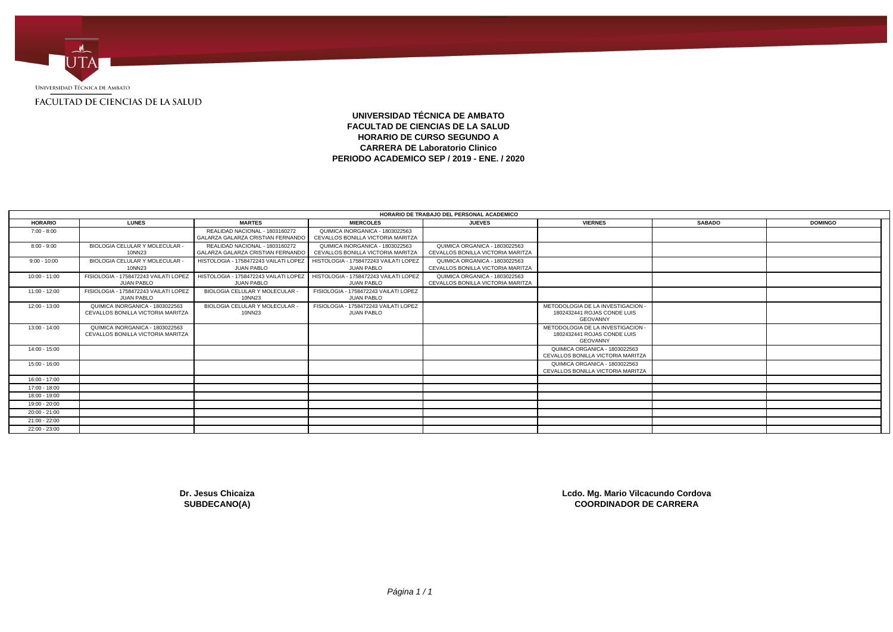

# **UNIVERSIDAD TÉCNICA DE AMBATO FACULTAD DE CIENCIAS DE LA SALUD HORARIO DE CURSO SEGUNDO A CARRERA DE Laboratorio Clinico PERIODO ACADEMICO SEP / 2019 - ENE. / 2020**

|                 |                                                                      |                                                                     |                                                                      | HORARIO DE TRABAJO DEL PERSONAL ACADEMICO                          |                                                                                     |               |                |
|-----------------|----------------------------------------------------------------------|---------------------------------------------------------------------|----------------------------------------------------------------------|--------------------------------------------------------------------|-------------------------------------------------------------------------------------|---------------|----------------|
| <b>HORARIO</b>  | <b>LUNES</b>                                                         | <b>MARTES</b>                                                       | <b>MIERCOLES</b>                                                     | <b>JUEVES</b>                                                      | <b>VIERNES</b>                                                                      | <b>SABADO</b> | <b>DOMINGO</b> |
| $7:00 - 8:00$   |                                                                      | REALIDAD NACIONAL - 1803160272<br>GALARZA GALARZA CRISTIAN FERNANDO | QUIMICA INORGANICA - 1803022563<br>CEVALLOS BONILLA VICTORIA MARITZA |                                                                    |                                                                                     |               |                |
| $8:00 - 9:00$   | BIOLOGIA CELULAR Y MOLECULAR -<br>10NN23                             | REALIDAD NACIONAL - 1803160272<br>GALARZA GALARZA CRISTIAN FERNANDO | QUIMICA INORGANICA - 1803022563<br>CEVALLOS BONILLA VICTORIA MARITZA | QUIMICA ORGANICA - 1803022563<br>CEVALLOS BONILLA VICTORIA MARITZA |                                                                                     |               |                |
| $9:00 - 10:00$  | BIOLOGIA CELULAR Y MOLECULAR -<br>10NN23                             | HISTOLOGIA - 1758472243 VAILATI LOPEZ<br><b>JUAN PABLO</b>          | HISTOLOGIA - 1758472243 VAILATI LOPEZ<br><b>JUAN PABLO</b>           | QUIMICA ORGANICA - 1803022563<br>CEVALLOS BONILLA VICTORIA MARITZA |                                                                                     |               |                |
| $10:00 - 11:00$ | FISIOLOGIA - 1758472243 VAILATI LOPEZ<br><b>JUAN PABLO</b>           | HISTOLOGIA - 1758472243 VAILATI LOPEZ<br><b>JUAN PABLO</b>          | HISTOLOGIA - 1758472243 VAILATI LOPEZ<br><b>JUAN PABLO</b>           | QUIMICA ORGANICA - 1803022563<br>CEVALLOS BONILLA VICTORIA MARITZA |                                                                                     |               |                |
| $11:00 - 12:00$ | FISIOLOGIA - 1758472243 VAILATI LOPEZ<br><b>JUAN PABLO</b>           | BIOLOGIA CELULAR Y MOLECULAR -<br>10NN23                            | FISIOLOGIA - 1758472243 VAILATI LOPEZ<br><b>JUAN PABLO</b>           |                                                                    |                                                                                     |               |                |
| $12:00 - 13:00$ | QUIMICA INORGANICA - 1803022563<br>CEVALLOS BONILLA VICTORIA MARITZA | BIOLOGIA CELULAR Y MOLECULAR -<br>10NN23                            | FISIOLOGIA - 1758472243 VAILATI LOPEZ<br><b>JUAN PABLO</b>           |                                                                    | METODOLOGIA DE LA INVESTIGACION -<br>1802432441 ROJAS CONDE LUIS<br><b>GEOVANNY</b> |               |                |
| $13:00 - 14:00$ | QUIMICA INORGANICA - 1803022563<br>CEVALLOS BONILLA VICTORIA MARITZA |                                                                     |                                                                      |                                                                    | METODOLOGIA DE LA INVESTIGACION<br>1802432441 ROJAS CONDE LUIS<br><b>GEOVANNY</b>   |               |                |
| $14:00 - 15:00$ |                                                                      |                                                                     |                                                                      |                                                                    | QUIMICA ORGANICA - 1803022563<br>CEVALLOS BONILLA VICTORIA MARITZA                  |               |                |
| $15:00 - 16:00$ |                                                                      |                                                                     |                                                                      |                                                                    | QUIMICA ORGANICA - 1803022563<br>CEVALLOS BONILLA VICTORIA MARITZA                  |               |                |
| $16:00 - 17:00$ |                                                                      |                                                                     |                                                                      |                                                                    |                                                                                     |               |                |
| 17:00 - 18:00   |                                                                      |                                                                     |                                                                      |                                                                    |                                                                                     |               |                |
| 18:00 - 19:00   |                                                                      |                                                                     |                                                                      |                                                                    |                                                                                     |               |                |
| 19:00 - 20:00   |                                                                      |                                                                     |                                                                      |                                                                    |                                                                                     |               |                |
| $20:00 - 21:00$ |                                                                      |                                                                     |                                                                      |                                                                    |                                                                                     |               |                |
| $21:00 - 22:00$ |                                                                      |                                                                     |                                                                      |                                                                    |                                                                                     |               |                |
| 22:00 - 23:00   |                                                                      |                                                                     |                                                                      |                                                                    |                                                                                     |               |                |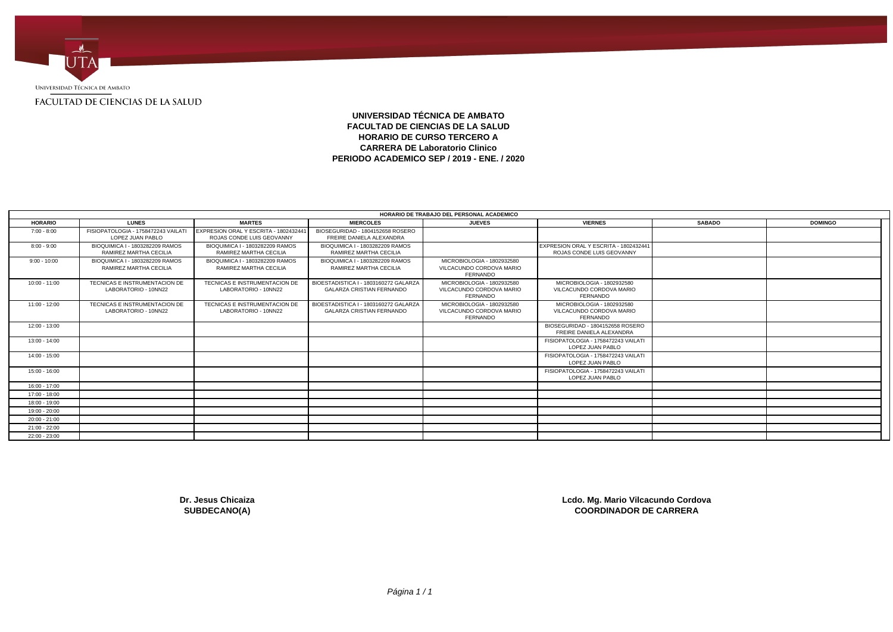

# **UNIVERSIDAD TÉCNICA DE AMBATO FACULTAD DE CIENCIAS DE LA SALUD HORARIO DE CURSO TERCERO A CARRERA DE Laboratorio Clinico PERIODO ACADEMICO SEP / 2019 - ENE. / 2020**

|                 |                                                           |                                                                   |                                                                           | HORARIO DE TRABAJO DEL PERSONAL ACADEMICO                                 |                                                                    |               |                |
|-----------------|-----------------------------------------------------------|-------------------------------------------------------------------|---------------------------------------------------------------------------|---------------------------------------------------------------------------|--------------------------------------------------------------------|---------------|----------------|
| <b>HORARIO</b>  | <b>LUNES</b>                                              | <b>MARTES</b>                                                     | <b>MIERCOLES</b>                                                          | <b>JUEVES</b>                                                             | <b>VIERNES</b>                                                     | <b>SABADO</b> | <b>DOMINGO</b> |
| $7:00 - 8:00$   | FISIOPATOLOGIA - 1758472243 VAILAT<br>LOPEZ JUAN PABLO    | EXPRESION ORAL Y ESCRITA - 180243244<br>ROJAS CONDE LUIS GEOVANNY | BIOSEGURIDAD - 1804152658 ROSERO<br>FREIRE DANIELA ALEXANDRA              |                                                                           |                                                                    |               |                |
| $8:00 - 9:00$   | BIOQUIMICA I - 1803282209 RAMOS<br>RAMIREZ MARTHA CECILIA | BIOQUIMICA I - 1803282209 RAMOS<br>RAMIREZ MARTHA CECILIA         | BIOQUIMICA I - 1803282209 RAMOS<br>RAMIREZ MARTHA CECILIA                 |                                                                           | EXPRESION ORAL Y ESCRITA - 1802432441<br>ROJAS CONDE LUIS GEOVANNY |               |                |
| $9:00 - 10:00$  | BIOQUIMICA I - 1803282209 RAMOS<br>RAMIREZ MARTHA CECILIA | BIOQUIMICA I - 1803282209 RAMOS<br>RAMIREZ MARTHA CECILIA         | BIOQUIMICA I - 1803282209 RAMOS<br>RAMIREZ MARTHA CECILIA                 | MICROBIOLOGIA - 1802932580<br>VILCACUNDO CORDOVA MARIO<br>FERNANDO        |                                                                    |               |                |
| $10:00 - 11:00$ | TECNICAS E INSTRUMENTACION DE<br>LABORATORIO - 10NN22     | TECNICAS E INSTRUMENTACION DE<br>LABORATORIO - 10NN22             | BIOESTADISTICA I - 1803160272 GALARZA<br><b>GALARZA CRISTIAN FERNANDO</b> | MICROBIOLOGIA - 1802932580<br>VILCACUNDO CORDOVA MARIO<br><b>FERNANDO</b> | MICROBIOLOGIA - 1802932580<br>VILCACUNDO CORDOVA MARIO<br>FERNANDO |               |                |
| $11:00 - 12:00$ | TECNICAS E INSTRUMENTACION DE<br>LABORATORIO - 10NN22     | TECNICAS E INSTRUMENTACION DE<br>LABORATORIO - 10NN22             | BIOESTADISTICA I - 1803160272 GALARZA<br><b>GALARZA CRISTIAN FERNANDO</b> | MICROBIOLOGIA - 1802932580<br>VILCACUNDO CORDOVA MARIO<br><b>FERNANDO</b> | MICROBIOLOGIA - 1802932580<br>VILCACUNDO CORDOVA MARIO<br>FERNANDO |               |                |
| $12:00 - 13:00$ |                                                           |                                                                   |                                                                           |                                                                           | BIOSEGURIDAD - 1804152658 ROSERO<br>FREIRE DANIELA ALEXANDRA       |               |                |
| 13:00 - 14:00   |                                                           |                                                                   |                                                                           |                                                                           | FISIOPATOLOGIA - 1758472243 VAILATI<br>LOPEZ JUAN PABLO            |               |                |
| 14:00 - 15:00   |                                                           |                                                                   |                                                                           |                                                                           | FISIOPATOLOGIA - 1758472243 VAILATI<br>LOPEZ JUAN PABLO            |               |                |
| $15:00 - 16:00$ |                                                           |                                                                   |                                                                           |                                                                           | FISIOPATOLOGIA - 1758472243 VAILATI<br>LOPEZ JUAN PABLO            |               |                |
| 16:00 - 17:00   |                                                           |                                                                   |                                                                           |                                                                           |                                                                    |               |                |
| 17:00 - 18:00   |                                                           |                                                                   |                                                                           |                                                                           |                                                                    |               |                |
| 18:00 - 19:00   |                                                           |                                                                   |                                                                           |                                                                           |                                                                    |               |                |
| 19:00 - 20:00   |                                                           |                                                                   |                                                                           |                                                                           |                                                                    |               |                |
| $20:00 - 21:00$ |                                                           |                                                                   |                                                                           |                                                                           |                                                                    |               |                |
| $21:00 - 22:00$ |                                                           |                                                                   |                                                                           |                                                                           |                                                                    |               |                |
| $22:00 - 23:00$ |                                                           |                                                                   |                                                                           |                                                                           |                                                                    |               |                |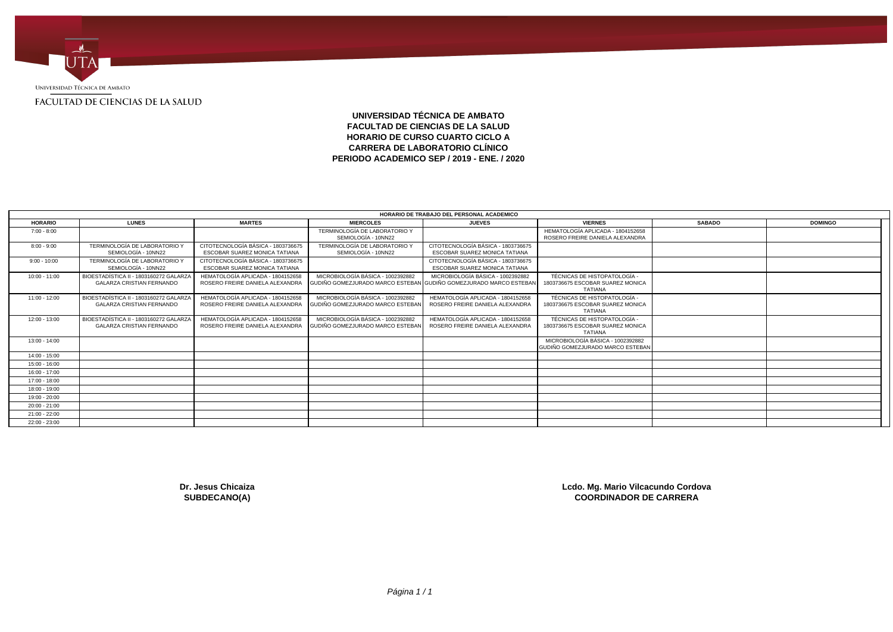

## **UNIVERSIDAD TÉCNICA DE AMBATO FACULTAD DE CIENCIAS DE LA SALUD HORARIO DE CURSO CUARTO CICLO A CARRERA DE LABORATORIO CLÍNICO PERIODO ACADEMICO SEP / 2019 - ENE. / 2020**

|                 |                                                                            |                                                                      |                                                                                                        | HORARIO DE TRABAJO DEL PERSONAL ACADEMICO                                  |                                                                                    |               |                |  |
|-----------------|----------------------------------------------------------------------------|----------------------------------------------------------------------|--------------------------------------------------------------------------------------------------------|----------------------------------------------------------------------------|------------------------------------------------------------------------------------|---------------|----------------|--|
| <b>HORARIO</b>  | <b>LUNES</b>                                                               | <b>MARTES</b>                                                        | <b>MIERCOLES</b>                                                                                       | <b>JUEVES</b>                                                              | <b>VIERNES</b>                                                                     | <b>SABADO</b> | <b>DOMINGO</b> |  |
| $7:00 - 8:00$   |                                                                            |                                                                      | TERMINOLOGÍA DE LABORATORIO Y<br>SEMIOLOGÍA - 10NN22                                                   |                                                                            | HEMATOLOGÍA APLICADA - 1804152658<br>ROSERO FREIRE DANIELA ALEXANDRA               |               |                |  |
| $8:00 - 9:00$   | TERMINOLOGÍA DE LABORATORIO Y<br>SEMIOLOGÍA - 10NN22                       | CITOTECNOLOGÍA BÁSICA - 1803736675<br>ESCOBAR SUAREZ MONICA TATIANA  | TERMINOLOGÍA DE LABORATORIO Y<br>SEMIOLOGÍA - 10NN22                                                   | CITOTECNOLOGÍA BÁSICA - 1803736675<br><b>ESCOBAR SUAREZ MONICA TATIANA</b> |                                                                                    |               |                |  |
| $9:00 - 10:00$  | TERMINOLOGÍA DE LABORATORIO Y<br>SEMIOLOGÍA - 10NN22                       | CITOTECNOLOGÍA BÁSICA - 1803736675<br>ESCOBAR SUAREZ MONICA TATIANA  |                                                                                                        | CITOTECNOLOGÍA BÁSICA - 1803736675<br><b>ESCOBAR SUAREZ MONICA TATIANA</b> |                                                                                    |               |                |  |
| $10:00 - 11:00$ | BIOESTADÍSTICA II - 1803160272 GALARZA<br><b>GALARZA CRISTIAN FERNANDO</b> | HEMATOLOGÍA APLICADA - 1804152658<br>ROSERO FREIRE DANIELA ALEXANDRA | MICROBIOLOGÍA BÁSICA - 1002392882<br>GUDIÑO GOMEZJURADO MARCO ESTEBAN GUDIÑO GOMEZJURADO MARCO ESTEBAN | MICROBIOLOGÍA BÁSICA - 1002392882                                          | TÉCNICAS DE HISTOPATOLOGÍA -<br>1803736675 ESCOBAR SUAREZ MONICA<br><b>TATIANA</b> |               |                |  |
| $11:00 - 12:00$ | BIOESTADÍSTICA II - 1803160272 GALARZA<br><b>GALARZA CRISTIAN FERNANDO</b> | HEMATOLOGÍA APLICADA - 1804152658<br>ROSERO FREIRE DANIELA ALEXANDRA | MICROBIOLOGÍA BÁSICA - 1002392882<br>GUDIÑO GOMEZJURADO MARCO ESTEBAN                                  | HEMATOLOGÍA APLICADA - 1804152658<br>ROSERO FREIRE DANIELA ALEXANDRA       | TÉCNICAS DE HISTOPATOLOGÍA -<br>1803736675 ESCOBAR SUAREZ MONICA<br><b>TATIANA</b> |               |                |  |
| $12:00 - 13:00$ | BIOESTADÍSTICA II - 1803160272 GALARZA<br><b>GALARZA CRISTIAN FERNANDO</b> | HEMATOLOGÍA APLICADA - 1804152658<br>ROSERO FREIRE DANIELA ALEXANDRA | MICROBIOLOGÍA BÁSICA - 1002392882<br>GUDIÑO GOMEZJURADO MARCO ESTEBAN                                  | HEMATOLOGÍA APLICADA - 1804152658<br>ROSERO FREIRE DANIELA ALEXANDRA       | TÉCNICAS DE HISTOPATOLOGÍA -<br>1803736675 ESCOBAR SUAREZ MONICA<br>TATIANA        |               |                |  |
| $13:00 - 14:00$ |                                                                            |                                                                      |                                                                                                        |                                                                            | MICROBIOLOGÍA BÁSICA - 1002392882<br>GUDIÑO GOMEZJURADO MARCO ESTEBAN              |               |                |  |
| 14:00 - 15:00   |                                                                            |                                                                      |                                                                                                        |                                                                            |                                                                                    |               |                |  |
| $15:00 - 16:00$ |                                                                            |                                                                      |                                                                                                        |                                                                            |                                                                                    |               |                |  |
| 16:00 - 17:00   |                                                                            |                                                                      |                                                                                                        |                                                                            |                                                                                    |               |                |  |
| 17:00 - 18:00   |                                                                            |                                                                      |                                                                                                        |                                                                            |                                                                                    |               |                |  |
| 18:00 - 19:00   |                                                                            |                                                                      |                                                                                                        |                                                                            |                                                                                    |               |                |  |
| 19:00 - 20:00   |                                                                            |                                                                      |                                                                                                        |                                                                            |                                                                                    |               |                |  |
| $20:00 - 21:00$ |                                                                            |                                                                      |                                                                                                        |                                                                            |                                                                                    |               |                |  |
| $21:00 - 22:00$ |                                                                            |                                                                      |                                                                                                        |                                                                            |                                                                                    |               |                |  |
| $22:00 - 23:00$ |                                                                            |                                                                      |                                                                                                        |                                                                            |                                                                                    |               |                |  |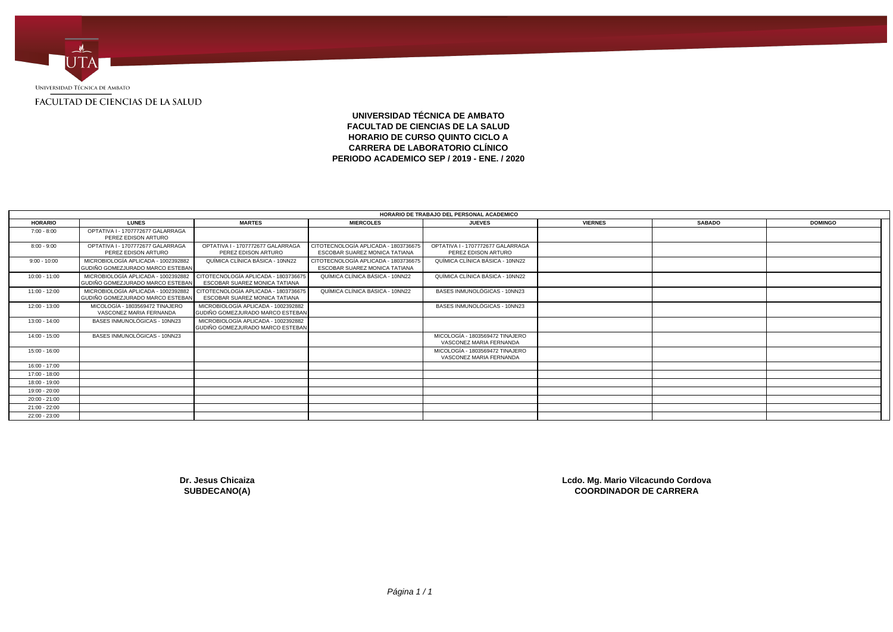

**UNIVERSIDAD TÉCNICA DE AMBATO FACULTAD DE CIENCIAS DE LA SALUD HORARIO DE CURSO QUINTO CICLO A CARRERA DE LABORATORIO CLÍNICO PERIODO ACADEMICO SEP / 2019 - ENE. / 2020**

|                 |                                                                         |                                                                         |                                                                              | HORARIO DE TRABAJO DEL PERSONAL ACADEMICO                  |                |               |                |  |
|-----------------|-------------------------------------------------------------------------|-------------------------------------------------------------------------|------------------------------------------------------------------------------|------------------------------------------------------------|----------------|---------------|----------------|--|
| <b>HORARIO</b>  | <b>LUNES</b>                                                            | <b>MARTES</b>                                                           | <b>MIERCOLES</b>                                                             | <b>JUEVES</b>                                              | <b>VIERNES</b> | <b>SABADO</b> | <b>DOMINGO</b> |  |
| $7:00 - 8:00$   | OPTATIVA I - 1707772677 GALARRAGA<br>PEREZ EDISON ARTURO                |                                                                         |                                                                              |                                                            |                |               |                |  |
| $8:00 - 9:00$   | OPTATIVA I - 1707772677 GALARRAGA<br>PEREZ EDISON ARTURO                | OPTATIVA I - 1707772677 GALARRAGA<br>PEREZ EDISON ARTURO                | CITOTECNOLOGÍA APLICADA - 1803736675<br><b>ESCOBAR SUAREZ MONICA TATIANA</b> | OPTATIVA I - 1707772677 GALARRAGA<br>PEREZ EDISON ARTURO   |                |               |                |  |
| $9:00 - 10:00$  | MICROBIOLOGÍA APLICADA - 1002392882<br>GUDIÑO GOMEZJURADO MARCO ESTEBAN | QUÍMICA CLÍNICA BÁSICA - 10NN22                                         | CITOTECNOLOGÍA APLICADA - 1803736675<br>ESCOBAR SUAREZ MONICA TATIANA        | QUÍMICA CLÍNICA BÁSICA - 10NN22                            |                |               |                |  |
| $10:00 - 11:00$ | MICROBIOLOGÍA APLICADA - 1002392882<br>GUDIÑO GOMEZJURADO MARCO ESTEBAN | CITOTECNOLOGÍA APLICADA - 180373667<br>ESCOBAR SUAREZ MONICA TATIANA    | QUÍMICA CLÍNICA BÁSICA - 10NN22                                              | QUÍMICA CLÍNICA BÁSICA - 10NN22                            |                |               |                |  |
| $11:00 - 12:00$ | MICROBIOLOGÍA APLICADA - 1002392882<br>GUDIÑO GOMEZJURADO MARCO ESTEBAN | CITOTECNOLOGÍA APLICADA - 180373667<br>ESCOBAR SUAREZ MONICA TATIANA    | QUÍMICA CLÍNICA BÁSICA - 10NN22                                              | BASES INMUNOLÓGICAS - 10NN23                               |                |               |                |  |
| 12:00 - 13:00   | MICOLOGÍA - 1803569472 TINAJERO<br>VASCONEZ MARIA FERNANDA              | MICROBIOLOGÍA APLICADA - 1002392882<br>GUDIÑO GOMEZJURADO MARCO ESTEBAN |                                                                              | BASES INMUNOLÓGICAS - 10NN23                               |                |               |                |  |
| $13:00 - 14:00$ | BASES INMUNOLÓGICAS - 10NN23                                            | MICROBIOLOGÍA APLICADA - 1002392882<br>GUDIÑO GOMEZJURADO MARCO ESTEBAN |                                                                              |                                                            |                |               |                |  |
| $14:00 - 15:00$ | BASES INMUNOLÓGICAS - 10NN23                                            |                                                                         |                                                                              | MICOLOGÍA - 1803569472 TINAJERO<br>VASCONEZ MARIA FERNANDA |                |               |                |  |
| $15:00 - 16:00$ |                                                                         |                                                                         |                                                                              | MICOLOGÍA - 1803569472 TINAJERO<br>VASCONEZ MARIA FERNANDA |                |               |                |  |
| $16:00 - 17:00$ |                                                                         |                                                                         |                                                                              |                                                            |                |               |                |  |
| 17:00 - 18:00   |                                                                         |                                                                         |                                                                              |                                                            |                |               |                |  |
| 18:00 - 19:00   |                                                                         |                                                                         |                                                                              |                                                            |                |               |                |  |
| 19:00 - 20:00   |                                                                         |                                                                         |                                                                              |                                                            |                |               |                |  |
| $20:00 - 21:00$ |                                                                         |                                                                         |                                                                              |                                                            |                |               |                |  |
| 21:00 - 22:00   |                                                                         |                                                                         |                                                                              |                                                            |                |               |                |  |
| 22:00 - 23:00   |                                                                         |                                                                         |                                                                              |                                                            |                |               |                |  |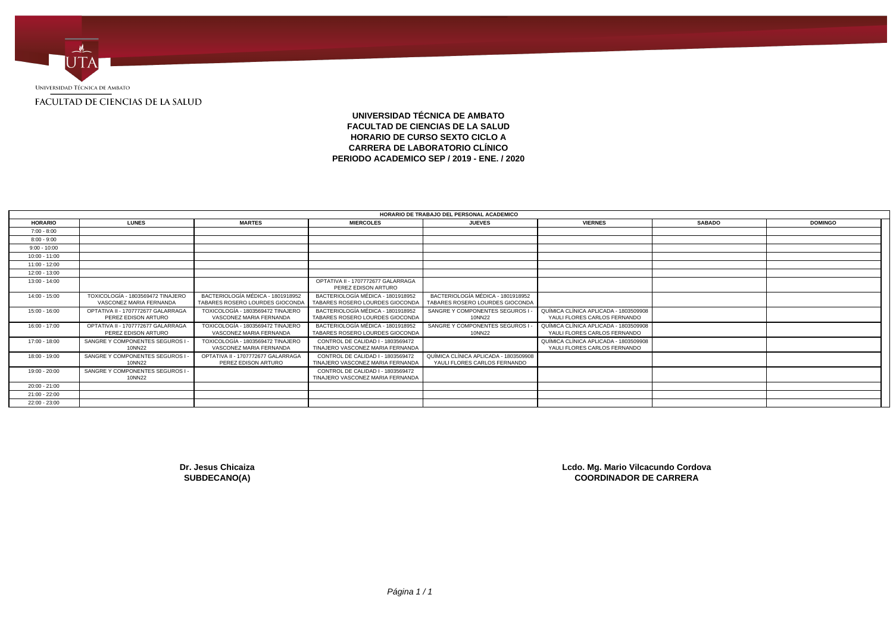

## **UNIVERSIDAD TÉCNICA DE AMBATO FACULTAD DE CIENCIAS DE LA SALUD HORARIO DE CURSO SEXTO CICLO A CARRERA DE LABORATORIO CLÍNICO PERIODO ACADEMICO SEP / 2019 - ENE. / 2020**

|                 |                                                              |                                                                      |                                                                       | HORARIO DE TRABAJO DEL PERSONAL ACADEMICO                             |                                                                       |               |                |
|-----------------|--------------------------------------------------------------|----------------------------------------------------------------------|-----------------------------------------------------------------------|-----------------------------------------------------------------------|-----------------------------------------------------------------------|---------------|----------------|
| <b>HORARIO</b>  | <b>LUNES</b>                                                 | <b>MARTES</b>                                                        | <b>MIERCOLES</b>                                                      | <b>JUEVES</b>                                                         | <b>VIERNES</b>                                                        | <b>SABADO</b> | <b>DOMINGO</b> |
| $7:00 - 8:00$   |                                                              |                                                                      |                                                                       |                                                                       |                                                                       |               |                |
| $8:00 - 9:00$   |                                                              |                                                                      |                                                                       |                                                                       |                                                                       |               |                |
| $9:00 - 10:00$  |                                                              |                                                                      |                                                                       |                                                                       |                                                                       |               |                |
| $10:00 - 11:00$ |                                                              |                                                                      |                                                                       |                                                                       |                                                                       |               |                |
| 11:00 - 12:00   |                                                              |                                                                      |                                                                       |                                                                       |                                                                       |               |                |
| 12:00 - 13:00   |                                                              |                                                                      |                                                                       |                                                                       |                                                                       |               |                |
| 13:00 - 14:00   |                                                              |                                                                      | OPTATIVA II - 1707772677 GALARRAGA<br>PEREZ EDISON ARTURO             |                                                                       |                                                                       |               |                |
| 14:00 - 15:00   | TOXICOLOGÍA - 1803569472 TINAJERO<br>VASCONEZ MARIA FERNANDA | BACTERIOLOGÍA MÉDICA - 1801918952<br>TABARES ROSERO LOURDES GIOCONDA | BACTERIOLOGÍA MÉDICA - 1801918952<br>TABARES ROSERO LOURDES GIOCONDA  | BACTERIOLOGÍA MÉDICA - 1801918952<br>TABARES ROSERO LOURDES GIOCONDA  |                                                                       |               |                |
| $15:00 - 16:00$ | OPTATIVA II - 1707772677 GALARRAGA<br>PEREZ EDISON ARTURO    | TOXICOLOGÍA - 1803569472 TINAJERO<br>VASCONEZ MARIA FERNANDA         | BACTERIOLOGÍA MÉDICA - 1801918952<br>TABARES ROSERO LOURDES GIOCONDA  | SANGRE Y COMPONENTES SEGUROS<br>10NN22                                | QUÍMICA CLÍNICA APLICADA - 1803509908<br>YAULI FLORES CARLOS FERNANDO |               |                |
| 16:00 - 17:00   | OPTATIVA II - 1707772677 GALARRAGA<br>PEREZ EDISON ARTURO    | TOXICOLOGÍA - 1803569472 TINAJERO<br>VASCONEZ MARIA FERNANDA         | BACTERIOLOGÍA MÉDICA - 1801918952<br>TABARES ROSERO LOURDES GIOCONDA  | SANGRE Y COMPONENTES SEGUROS I<br>10NN22                              | QUÍMICA CLÍNICA APLICADA - 1803509908<br>YAULI FLORES CARLOS FERNANDO |               |                |
| 17:00 - 18:00   | SANGRE Y COMPONENTES SEGUROS I<br>10NN22                     | TOXICOLOGÍA - 1803569472 TINAJERO<br>VASCONEZ MARIA FERNANDA         | CONTROL DE CALIDAD I - 1803569472<br>TINAJERO VASCONEZ MARIA FERNANDA |                                                                       | QUÍMICA CLÍNICA APLICADA - 1803509908<br>YAULI FLORES CARLOS FERNANDO |               |                |
| 18:00 - 19:00   | SANGRE Y COMPONENTES SEGUROS I<br>10NN22                     | OPTATIVA II - 1707772677 GALARRAGA<br>PEREZ EDISON ARTURO            | CONTROL DE CALIDAD I - 1803569472<br>TINAJERO VASCONEZ MARIA FERNANDA | QUÍMICA CLÍNICA APLICADA - 1803509908<br>YAULI FLORES CARLOS FERNANDO |                                                                       |               |                |
| 19:00 - 20:00   | SANGRE Y COMPONENTES SEGUROS I -<br>10NN22                   |                                                                      | CONTROL DE CALIDAD I - 1803569472<br>TINAJERO VASCONEZ MARIA FERNANDA |                                                                       |                                                                       |               |                |
| $20:00 - 21:00$ |                                                              |                                                                      |                                                                       |                                                                       |                                                                       |               |                |
| 21:00 - 22:00   |                                                              |                                                                      |                                                                       |                                                                       |                                                                       |               |                |
| 22:00 - 23:00   |                                                              |                                                                      |                                                                       |                                                                       |                                                                       |               |                |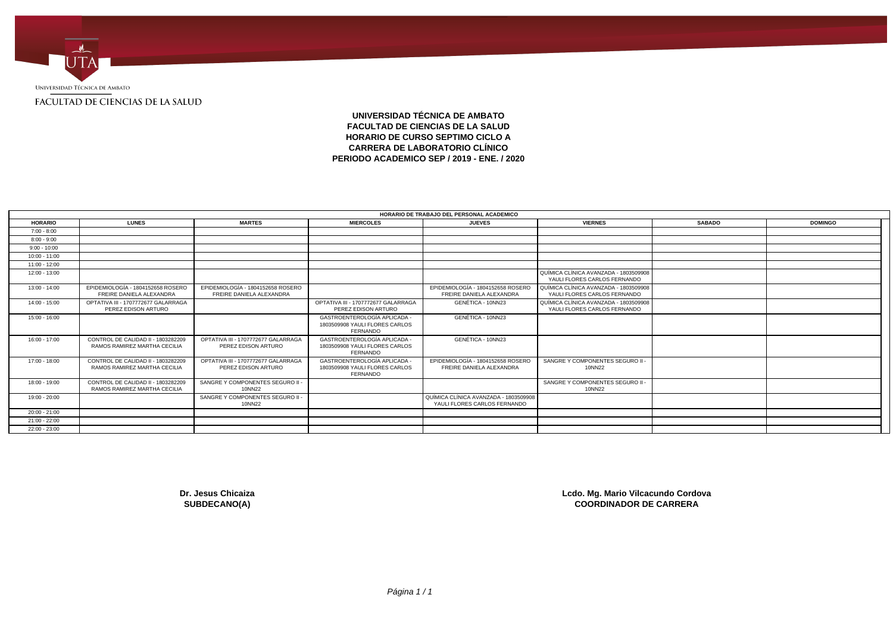

**UNIVERSIDAD TÉCNICA DE AMBATO FACULTAD DE CIENCIAS DE LA SALUD HORARIO DE CURSO SEPTIMO CICLO A CARRERA DE LABORATORIO CLÍNICO PERIODO ACADEMICO SEP / 2019 - ENE. / 2020**

|                 |                                                                    |                                                               |                                                                                 | HORARIO DE TRABAJO DEL PERSONAL ACADEMICO                             |                                                                       |               |                |  |
|-----------------|--------------------------------------------------------------------|---------------------------------------------------------------|---------------------------------------------------------------------------------|-----------------------------------------------------------------------|-----------------------------------------------------------------------|---------------|----------------|--|
| <b>HORARIO</b>  | <b>LUNES</b>                                                       | <b>MARTES</b>                                                 | <b>MIERCOLES</b>                                                                | <b>JUEVES</b>                                                         | <b>VIERNES</b>                                                        | <b>SABADO</b> | <b>DOMINGO</b> |  |
| $7:00 - 8:00$   |                                                                    |                                                               |                                                                                 |                                                                       |                                                                       |               |                |  |
| $8:00 - 9:00$   |                                                                    |                                                               |                                                                                 |                                                                       |                                                                       |               |                |  |
| $9:00 - 10:00$  |                                                                    |                                                               |                                                                                 |                                                                       |                                                                       |               |                |  |
| $10:00 - 11:00$ |                                                                    |                                                               |                                                                                 |                                                                       |                                                                       |               |                |  |
| 11:00 - 12:00   |                                                                    |                                                               |                                                                                 |                                                                       |                                                                       |               |                |  |
| 12:00 - 13:00   |                                                                    |                                                               |                                                                                 |                                                                       | QUÍMICA CLÍNICA AVANZADA - 1803509908<br>YAULI FLORES CARLOS FERNANDO |               |                |  |
| 13:00 - 14:00   | EPIDEMIOLOGÍA - 1804152658 ROSERO<br>FREIRE DANIELA ALEXANDRA      | EPIDEMIOLOGÍA - 1804152658 ROSERO<br>FREIRE DANIELA ALEXANDRA |                                                                                 | EPIDEMIOLOGÍA - 1804152658 ROSERO<br>FREIRE DANIELA ALEXANDRA         | QUÍMICA CLÍNICA AVANZADA - 1803509908<br>YAULI FLORES CARLOS FERNANDO |               |                |  |
| $14:00 - 15:00$ | OPTATIVA III - 1707772677 GALARRAGA<br>PEREZ EDISON ARTURO         |                                                               | OPTATIVA III - 1707772677 GALARRAGA<br>PEREZ EDISON ARTURO                      | GENÉTICA - 10NN23                                                     | QUÍMICA CLÍNICA AVANZADA - 1803509908<br>YAULI FLORES CARLOS FERNANDO |               |                |  |
| $15:00 - 16:00$ |                                                                    |                                                               | <b>GASTROENTEROLOGÍA APLICADA</b><br>1803509908 YAULI FLORES CARLOS<br>FERNANDO | GENÉTICA - 10NN23                                                     |                                                                       |               |                |  |
| $16:00 - 17:00$ | CONTROL DE CALIDAD II - 1803282209<br>RAMOS RAMIREZ MARTHA CECILIA | OPTATIVA III - 1707772677 GALARRAGA<br>PEREZ EDISON ARTURO    | GASTROENTEROLOGÍA APLICADA -<br>1803509908 YAULI FLORES CARLOS<br>FERNANDO      | GENÉTICA - 10NN23                                                     |                                                                       |               |                |  |
| 17:00 - 18:00   | CONTROL DE CALIDAD II - 1803282209<br>RAMOS RAMIREZ MARTHA CECILIA | OPTATIVA III - 1707772677 GALARRAGA<br>PEREZ EDISON ARTURO    | <b>GASTROENTEROLOGÍA APLICADA</b><br>1803509908 YAULI FLORES CARLOS<br>FERNANDO | EPIDEMIOLOGÍA - 1804152658 ROSERC<br>FREIRE DANIELA ALEXANDRA         | SANGRE Y COMPONENTES SEGURO II -<br>10NN22                            |               |                |  |
| 18:00 - 19:00   | CONTROL DE CALIDAD II - 1803282209<br>RAMOS RAMIREZ MARTHA CECILIA | SANGRE Y COMPONENTES SEGURO II -<br>10NN22                    |                                                                                 |                                                                       | SANGRE Y COMPONENTES SEGURO II -<br>10NN22                            |               |                |  |
| 19:00 - 20:00   |                                                                    | SANGRE Y COMPONENTES SEGURO II -<br>10NN22                    |                                                                                 | QUÍMICA CLÍNICA AVANZADA - 1803509908<br>YAULI FLORES CARLOS FERNANDO |                                                                       |               |                |  |
| $20:00 - 21:00$ |                                                                    |                                                               |                                                                                 |                                                                       |                                                                       |               |                |  |
| 21:00 - 22:00   |                                                                    |                                                               |                                                                                 |                                                                       |                                                                       |               |                |  |
| 22:00 - 23:00   |                                                                    |                                                               |                                                                                 |                                                                       |                                                                       |               |                |  |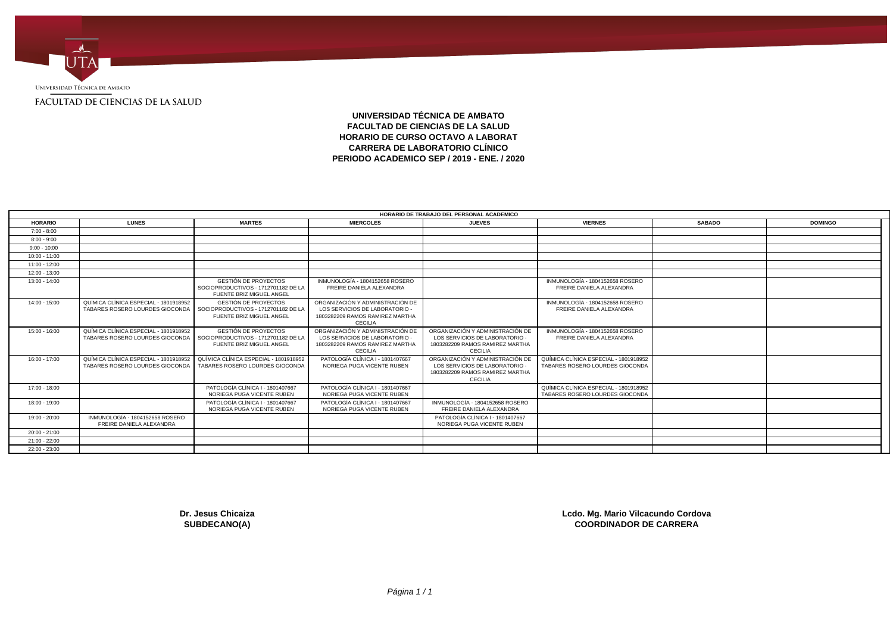

**UNIVERSIDAD TÉCNICA DE AMBATO FACULTAD DE CIENCIAS DE LA SALUD HORARIO DE CURSO OCTAVO A LABORAT CARRERA DE LABORATORIO CLÍNICO PERIODO ACADEMICO SEP / 2019 - ENE. / 2020**

|                 |                                                                          |                                                                                                |                                                                                                                         | HORARIO DE TRABAJO DEL PERSONAL ACADEMICO                                                                               |                                                                          |               |                |
|-----------------|--------------------------------------------------------------------------|------------------------------------------------------------------------------------------------|-------------------------------------------------------------------------------------------------------------------------|-------------------------------------------------------------------------------------------------------------------------|--------------------------------------------------------------------------|---------------|----------------|
| <b>HORARIO</b>  | <b>LUNES</b>                                                             | <b>MARTES</b>                                                                                  | <b>MIERCOLES</b>                                                                                                        | <b>JUEVES</b>                                                                                                           | <b>VIERNES</b>                                                           | <b>SABADO</b> | <b>DOMINGO</b> |
| $7:00 - 8:00$   |                                                                          |                                                                                                |                                                                                                                         |                                                                                                                         |                                                                          |               |                |
| $8:00 - 9:00$   |                                                                          |                                                                                                |                                                                                                                         |                                                                                                                         |                                                                          |               |                |
| $9:00 - 10:00$  |                                                                          |                                                                                                |                                                                                                                         |                                                                                                                         |                                                                          |               |                |
| $10:00 - 11:00$ |                                                                          |                                                                                                |                                                                                                                         |                                                                                                                         |                                                                          |               |                |
| $11:00 - 12:00$ |                                                                          |                                                                                                |                                                                                                                         |                                                                                                                         |                                                                          |               |                |
| $12:00 - 13:00$ |                                                                          |                                                                                                |                                                                                                                         |                                                                                                                         |                                                                          |               |                |
| 13:00 - 14:00   |                                                                          | <b>GESTIÓN DE PROYECTOS</b><br>SOCIOPRODUCTIVOS - 1712701182 DE LA<br>FUENTE BRIZ MIGUEL ANGEL | INMUNOLOGÍA - 1804152658 ROSERO<br>FREIRE DANIELA ALEXANDRA                                                             |                                                                                                                         | INMUNOLOGÍA - 1804152658 ROSERO<br>FREIRE DANIELA ALEXANDRA              |               |                |
| 14:00 - 15:00   | QUÍMICA CLÍNICA ESPECIAL - 1801918952<br>TABARES ROSERO LOURDES GIOCONDA | <b>GESTIÓN DE PROYECTOS</b><br>SOCIOPRODUCTIVOS - 1712701182 DE LA<br>FUENTE BRIZ MIGUEL ANGEL | ORGANIZACIÓN Y ADMINISTRACIÓN DE<br>LOS SERVICIOS DE LABORATORIO -<br>1803282209 RAMOS RAMIREZ MARTHA<br><b>CECILIA</b> |                                                                                                                         | INMUNOLOGÍA - 1804152658 ROSERO<br>FREIRE DANIELA ALEXANDRA              |               |                |
| $15:00 - 16:00$ | QUÍMICA CLÍNICA ESPECIAL - 1801918952<br>TABARES ROSERO LOURDES GIOCONDA | <b>GESTIÓN DE PROYECTOS</b><br>SOCIOPRODUCTIVOS - 1712701182 DE LA<br>FUENTE BRIZ MIGUEL ANGEL | ORGANIZACIÓN Y ADMINISTRACIÓN DE<br>LOS SERVICIOS DE LABORATORIO -<br>1803282209 RAMOS RAMIREZ MARTHA<br><b>CECILIA</b> | ORGANIZACIÓN Y ADMINISTRACIÓN DE<br>LOS SERVICIOS DE LABORATORIO -<br>1803282209 RAMOS RAMIREZ MARTHA<br><b>CECILIA</b> | INMUNOLOGÍA - 1804152658 ROSERO<br>FREIRE DANIELA ALEXANDRA              |               |                |
| $16:00 - 17:00$ | QUÍMICA CLÍNICA ESPECIAL - 1801918952<br>TABARES ROSERO LOURDES GIOCONDA | QUÍMICA CLÍNICA ESPECIAL - 1801918952<br>TABARES ROSERO LOURDES GIOCONDA                       | PATOLOGÍA CLÍNICA I - 1801407667<br>NORIEGA PUGA VICENTE RUBEN                                                          | ORGANIZACIÓN Y ADMINISTRACIÓN DE<br>LOS SERVICIOS DE LABORATORIO<br>1803282209 RAMOS RAMIREZ MARTHA<br><b>CECILIA</b>   | QUÍMICA CLÍNICA ESPECIAL - 1801918952<br>TABARES ROSERO LOURDES GIOCONDA |               |                |
| $17:00 - 18:00$ |                                                                          | PATOLOGÍA CLÍNICA I - 1801407667<br>NORIEGA PUGA VICENTE RUBEN                                 | PATOLOGÍA CLÍNICA I - 1801407667<br>NORIEGA PUGA VICENTE RUBEN                                                          |                                                                                                                         | QUÍMICA CLÍNICA ESPECIAL - 1801918952<br>TABARES ROSERO LOURDES GIOCONDA |               |                |
| 18:00 - 19:00   |                                                                          | PATOLOGÍA CLÍNICA I - 1801407667<br>NORIEGA PUGA VICENTE RUBEN                                 | PATOLOGÍA CLÍNICA I - 1801407667<br>NORIEGA PUGA VICENTE RUBEN                                                          | INMUNOLOGÍA - 1804152658 ROSERO<br>FREIRE DANIELA ALEXANDRA                                                             |                                                                          |               |                |
| 19:00 - 20:00   | INMUNOLOGÍA - 1804152658 ROSERO<br>FREIRE DANIELA ALEXANDRA              |                                                                                                |                                                                                                                         | PATOLOGÍA CLÍNICA I - 1801407667<br>NORIEGA PUGA VICENTE RUBEN                                                          |                                                                          |               |                |
| $20:00 - 21:00$ |                                                                          |                                                                                                |                                                                                                                         |                                                                                                                         |                                                                          |               |                |
| 21:00 - 22:00   |                                                                          |                                                                                                |                                                                                                                         |                                                                                                                         |                                                                          |               |                |
| $22:00 - 23:00$ |                                                                          |                                                                                                |                                                                                                                         |                                                                                                                         |                                                                          |               |                |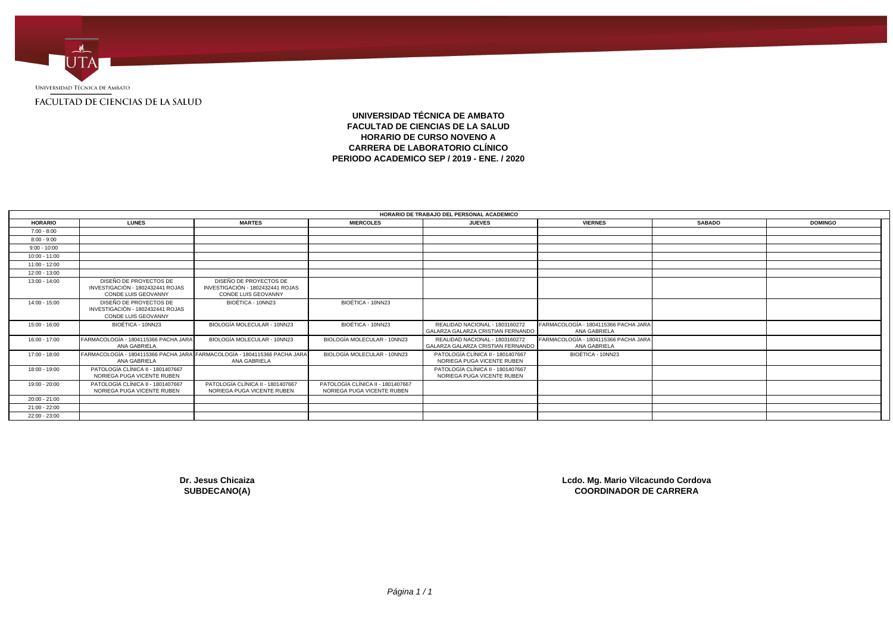

# **UNIVERSIDAD TÉCNICA DE AMBATO FACULTAD DE CIENCIAS DE LA SALUD HORARIO DE CURSO NOVENO A CARRERA DE LABORATORIO CLÍNICO PERIODO ACADEMICO SEP / 2019 - ENE. / 2020**

|                 |                                                                                           |                                                                                   |                                                                 | HORARIO DE TRABAJO DEL PERSONAL ACADEMICO                           |                                                      |               |                |  |
|-----------------|-------------------------------------------------------------------------------------------|-----------------------------------------------------------------------------------|-----------------------------------------------------------------|---------------------------------------------------------------------|------------------------------------------------------|---------------|----------------|--|
| <b>HORARIO</b>  | <b>LUNES</b>                                                                              | <b>MARTES</b>                                                                     | <b>MIERCOLES</b>                                                | <b>JUEVES</b>                                                       | <b>VIERNES</b>                                       | <b>SABADO</b> | <b>DOMINGO</b> |  |
| 7:00 - 8:00     |                                                                                           |                                                                                   |                                                                 |                                                                     |                                                      |               |                |  |
| $8:00 - 9:00$   |                                                                                           |                                                                                   |                                                                 |                                                                     |                                                      |               |                |  |
| $9:00 - 10:00$  |                                                                                           |                                                                                   |                                                                 |                                                                     |                                                      |               |                |  |
| $10:00 - 11:00$ |                                                                                           |                                                                                   |                                                                 |                                                                     |                                                      |               |                |  |
| $11:00 - 12:00$ |                                                                                           |                                                                                   |                                                                 |                                                                     |                                                      |               |                |  |
| 12:00 - 13:00   |                                                                                           |                                                                                   |                                                                 |                                                                     |                                                      |               |                |  |
| $13:00 - 14:00$ | DISEÑO DE PROYECTOS DE<br>INVESTIGACIÓN - 1802432441 ROJAS<br>CONDE LUIS GEOVANNY         | DISEÑO DE PROYECTOS DE<br>INVESTIGACIÓN - 1802432441 ROJAS<br>CONDE LUIS GEOVANNY |                                                                 |                                                                     |                                                      |               |                |  |
| 14:00 - 15:00   | DISEÑO DE PROYECTOS DE<br>INVESTIGACIÓN - 1802432441 ROJAS<br><b>CONDE LUIS GEOVANNY</b>  | BIOÉTICA - 10NN23                                                                 | BIOÉTICA - 10NN23                                               |                                                                     |                                                      |               |                |  |
| $15:00 - 16:00$ | BIOÉTICA - 10NN23                                                                         | BIOLOGÍA MOLECULAR - 10NN23                                                       | BIOÉTICA - 10NN23                                               | REALIDAD NACIONAL - 1803160272<br>GALARZA GALARZA CRISTIAN FERNANDO | FARMACOLOGÍA - 1804115366 PACHA JARA<br>ANA GABRIELA |               |                |  |
| 16:00 - 17:00   | FARMACOLOGÍA - 1804115366 PACHA JARA<br>ANA GABRIELA                                      | BIOLOGÍA MOLECULAR - 10NN23                                                       | BIOLOGÍA MOLECULAR - 10NN23                                     | REALIDAD NACIONAL - 1803160272<br>GALARZA GALARZA CRISTIAN FERNANDO | FARMACOLOGÍA - 1804115366 PACHA JARA<br>ANA GABRIELA |               |                |  |
| 17:00 - 18:00   | FARMACOLOGÍA - 1804115366 PACHA JARA FARMACOLOGÍA - 1804115366 PACHA JARA<br>ANA GABRIELA | ANA GABRIELA                                                                      | BIOLOGÍA MOLECULAR - 10NN23                                     | PATOLOGÍA CLÍNICA II - 1801407667<br>NORIEGA PUGA VICENTE RUBEN     | BIOÉTICA - 10NN23                                    |               |                |  |
| 18:00 - 19:00   | PATOLOGÍA CLÍNICA II - 1801407667<br>NORIEGA PUGA VICENTE RUBEN                           |                                                                                   |                                                                 | PATOLOGÍA CLÍNICA II - 1801407667<br>NORIEGA PUGA VICENTE RUBEN     |                                                      |               |                |  |
| 19:00 - 20:00   | PATOLOGÍA CLÍNICA II - 1801407667<br>NORIEGA PUGA VICENTE RUBEN                           | PATOLOGÍA CLÍNICA II - 1801407667<br>NORIEGA PUGA VICENTE RUBEN                   | PATOLOGÍA CLÍNICA II - 1801407667<br>NORIEGA PUGA VICENTE RUBEN |                                                                     |                                                      |               |                |  |
| $20:00 - 21:00$ |                                                                                           |                                                                                   |                                                                 |                                                                     |                                                      |               |                |  |
| 21:00 - 22:00   |                                                                                           |                                                                                   |                                                                 |                                                                     |                                                      |               |                |  |
| 22:00 - 23:00   |                                                                                           |                                                                                   |                                                                 |                                                                     |                                                      |               |                |  |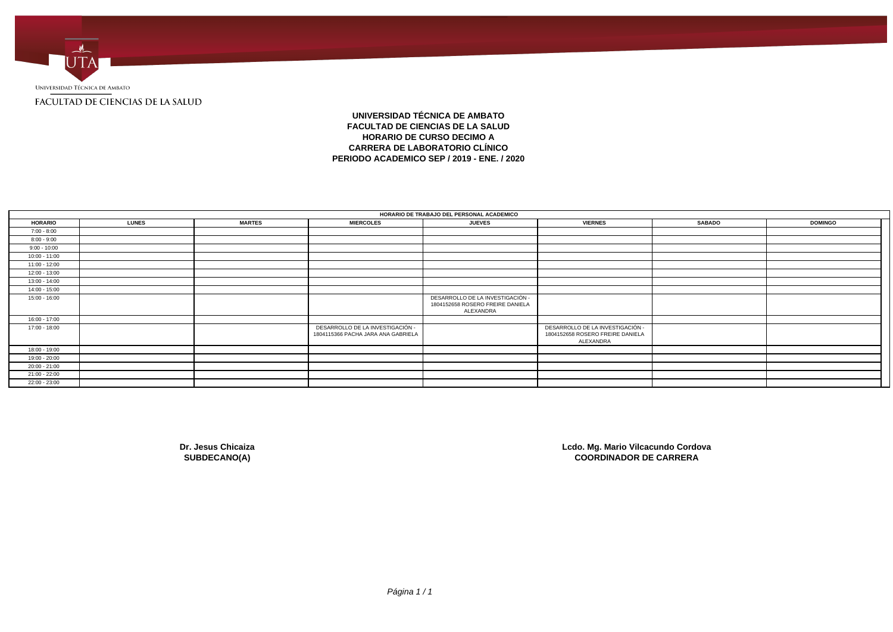

# **UNIVERSIDAD TÉCNICA DE AMBATO FACULTAD DE CIENCIAS DE LA SALUD HORARIO DE CURSO DECIMO A CARRERA DE LABORATORIO CLÍNICO PERIODO ACADEMICO SEP / 2019 - ENE. / 2020**

|                 | HORARIO DE TRABAJO DEL PERSONAL ACADEMICO |               |                                                                        |                                                                                   |                                                                                   |               |                |  |  |  |
|-----------------|-------------------------------------------|---------------|------------------------------------------------------------------------|-----------------------------------------------------------------------------------|-----------------------------------------------------------------------------------|---------------|----------------|--|--|--|
| <b>HORARIO</b>  | <b>LUNES</b>                              | <b>MARTES</b> | <b>MIERCOLES</b>                                                       | <b>JUEVES</b>                                                                     | <b>VIERNES</b>                                                                    | <b>SABADO</b> | <b>DOMINGO</b> |  |  |  |
| $7:00 - 8:00$   |                                           |               |                                                                        |                                                                                   |                                                                                   |               |                |  |  |  |
| $8:00 - 9:00$   |                                           |               |                                                                        |                                                                                   |                                                                                   |               |                |  |  |  |
| $9:00 - 10:00$  |                                           |               |                                                                        |                                                                                   |                                                                                   |               |                |  |  |  |
| $10:00 - 11:00$ |                                           |               |                                                                        |                                                                                   |                                                                                   |               |                |  |  |  |
| $11:00 - 12:00$ |                                           |               |                                                                        |                                                                                   |                                                                                   |               |                |  |  |  |
| 12:00 - 13:00   |                                           |               |                                                                        |                                                                                   |                                                                                   |               |                |  |  |  |
| 13:00 - 14:00   |                                           |               |                                                                        |                                                                                   |                                                                                   |               |                |  |  |  |
| 14:00 - 15:00   |                                           |               |                                                                        |                                                                                   |                                                                                   |               |                |  |  |  |
| 15:00 - 16:00   |                                           |               |                                                                        | DESARROLLO DE LA INVESTIGACIÓN -<br>1804152658 ROSERO FREIRE DANIELA<br>ALEXANDRA |                                                                                   |               |                |  |  |  |
| 16:00 - 17:00   |                                           |               |                                                                        |                                                                                   |                                                                                   |               |                |  |  |  |
| 17:00 - 18:00   |                                           |               | DESARROLLO DE LA INVESTIGACIÓN -<br>1804115366 PACHA JARA ANA GABRIELA |                                                                                   | DESARROLLO DE LA INVESTIGACIÓN -<br>1804152658 ROSERO FREIRE DANIELA<br>ALEXANDRA |               |                |  |  |  |
| 18:00 - 19:00   |                                           |               |                                                                        |                                                                                   |                                                                                   |               |                |  |  |  |
| 19:00 - 20:00   |                                           |               |                                                                        |                                                                                   |                                                                                   |               |                |  |  |  |
| 20:00 - 21:00   |                                           |               |                                                                        |                                                                                   |                                                                                   |               |                |  |  |  |
| 21:00 - 22:00   |                                           |               |                                                                        |                                                                                   |                                                                                   |               |                |  |  |  |
| 22:00 - 23:00   |                                           |               |                                                                        |                                                                                   |                                                                                   |               |                |  |  |  |